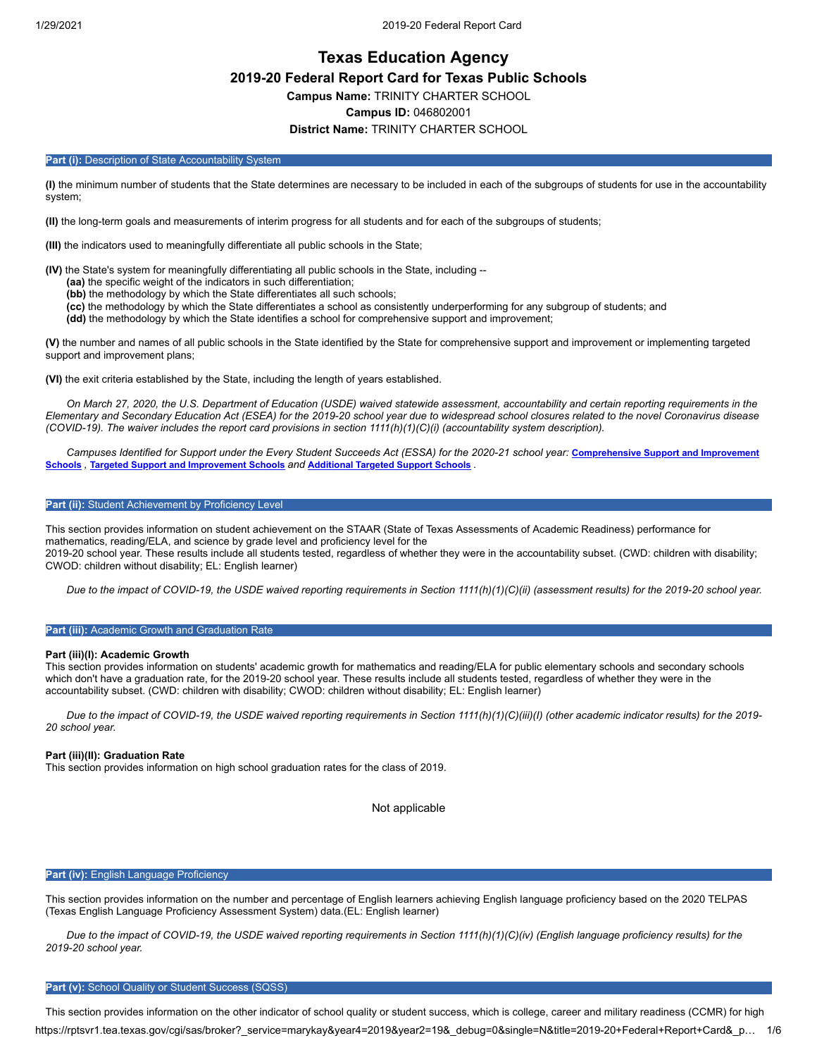# **Texas Education Agency 2019-20 Federal Report Card for Texas Public Schools Campus Name:** TRINITY CHARTER SCHOOL **Campus ID:** 046802001

### **District Name:** TRINITY CHARTER SCHOOL

#### Part (i): Description of State Accountability System

**(I)** the minimum number of students that the State determines are necessary to be included in each of the subgroups of students for use in the accountability system;

**(II)** the long-term goals and measurements of interim progress for all students and for each of the subgroups of students;

**(III)** the indicators used to meaningfully differentiate all public schools in the State;

**(IV)** the State's system for meaningfully differentiating all public schools in the State, including --

**(aa)** the specific weight of the indicators in such differentiation;

**(bb)** the methodology by which the State differentiates all such schools;

**(cc)** the methodology by which the State differentiates a school as consistently underperforming for any subgroup of students; and

**(dd)** the methodology by which the State identifies a school for comprehensive support and improvement;

**(V)** the number and names of all public schools in the State identified by the State for comprehensive support and improvement or implementing targeted support and improvement plans;

**(VI)** the exit criteria established by the State, including the length of years established.

*On March 27, 2020, the U.S. Department of Education (USDE) waived statewide assessment, accountability and certain reporting requirements in the Elementary and Secondary Education Act (ESEA) for the 2019-20 school year due to widespread school closures related to the novel Coronavirus disease (COVID-19). The waiver includes the report card provisions in section 1111(h)(1)(C)(i) (accountability system description).*

*[Campuses Identified for Support under the Every Student Succeeds Act \(ESSA\) for the 2020-21 school year:](https://tea.texas.gov/sites/default/files/comprehensive_support_2020.xlsx)* **Comprehensive Support and Improvement Schools** *,* **Targeted Support and [Improvement](https://tea.texas.gov/sites/default/files/targeted_support_2020.xlsx) Schools** *and* **[Additional](https://tea.texas.gov/sites/default/files/additional_targeted_support_2020.xlsx) Targeted Support Schools** *.*

#### **Part (ii):** Student Achievement by Proficiency Level

This section provides information on student achievement on the STAAR (State of Texas Assessments of Academic Readiness) performance for mathematics, reading/ELA, and science by grade level and proficiency level for the 2019-20 school year. These results include all students tested, regardless of whether they were in the accountability subset. (CWD: children with disability; CWOD: children without disability; EL: English learner)

*Due to the impact of COVID-19, the USDE waived reporting requirements in Section 1111(h)(1)(C)(ii) (assessment results) for the 2019-20 school year.*

#### **Part (iii):** Academic Growth and Graduation Rate

#### **Part (iii)(I): Academic Growth**

This section provides information on students' academic growth for mathematics and reading/ELA for public elementary schools and secondary schools which don't have a graduation rate, for the 2019-20 school year. These results include all students tested, regardless of whether they were in the accountability subset. (CWD: children with disability; CWOD: children without disability; EL: English learner)

*Due to the impact of COVID-19, the USDE waived reporting requirements in Section 1111(h)(1)(C)(iii)(I) (other academic indicator results) for the 2019- 20 school year.*

#### **Part (iii)(II): Graduation Rate**

This section provides information on high school graduation rates for the class of 2019.

Not applicable

#### **Part (iv): English Language Proficiency**

This section provides information on the number and percentage of English learners achieving English language proficiency based on the 2020 TELPAS (Texas English Language Proficiency Assessment System) data.(EL: English learner)

*Due to the impact of COVID-19, the USDE waived reporting requirements in Section 1111(h)(1)(C)(iv) (English language proficiency results) for the 2019-20 school year.*

#### Part (v): School Quality or Student Success (SQSS)

https://rptsvr1.tea.texas.gov/cgi/sas/broker?\_service=marykay&year4=2019&year2=19&\_debug=0&single=N&title=2019-20+Federal+Report+Card&\_p… 1/6 This section provides information on the other indicator of school quality or student success, which is college, career and military readiness (CCMR) for high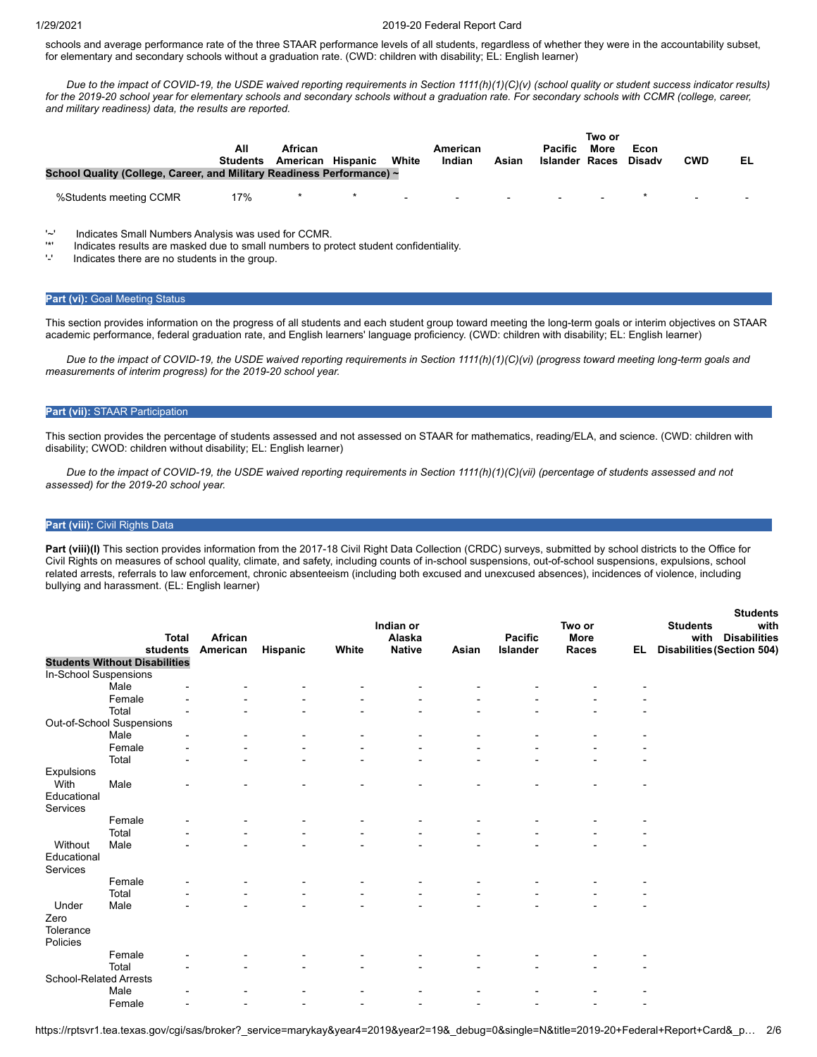#### 1/29/2021 2019-20 Federal Report Card

schools and average performance rate of the three STAAR performance levels of all students, regardless of whether they were in the accountability subset, for elementary and secondary schools without a graduation rate. (CWD: children with disability: EL: English learner)

*Due to the impact of COVID-19, the USDE waived reporting requirements in Section 1111(h)(1)(C)(v) (school quality or student success indicator results) for the 2019-20 school year for elementary schools and secondary schools without a graduation rate. For secondary schools with CCMR (college, career, and military readiness) data, the results are reported.*

| School Quality (College, Career, and Military Readiness Performance) ~ | All<br><b>Students</b> | African<br>American Hispanic | White  | American<br>Indian | Asian                    | <b>Pacific</b><br><b>Islander Races</b> | Two or<br>More | Econ<br><b>Disadv</b> | <b>CWD</b>     | EL |
|------------------------------------------------------------------------|------------------------|------------------------------|--------|--------------------|--------------------------|-----------------------------------------|----------------|-----------------------|----------------|----|
| %Students meeting CCMR                                                 | 17%                    | $\star$                      | $\sim$ | $\sim$             | <b>Contract Contract</b> | $\sim$                                  |                |                       | $\blacksquare$ |    |

'~' Indicates Small Numbers Analysis was used for CCMR.

'\*' Indicates results are masked due to small numbers to protect student confidentiality.

Indicates there are no students in the group.

#### **Part (vi): Goal Meeting Status**

This section provides information on the progress of all students and each student group toward meeting the long-term goals or interim objectives on STAAR academic performance, federal graduation rate, and English learners' language proficiency. (CWD: children with disability; EL: English learner)

*Due to the impact of COVID-19, the USDE waived reporting requirements in Section 1111(h)(1)(C)(vi) (progress toward meeting long-term goals and measurements of interim progress) for the 2019-20 school year.*

#### **Part (vii):** STAAR Participation

This section provides the percentage of students assessed and not assessed on STAAR for mathematics, reading/ELA, and science. (CWD: children with disability; CWOD: children without disability; EL: English learner)

*Due to the impact of COVID-19, the USDE waived reporting requirements in Section 1111(h)(1)(C)(vii) (percentage of students assessed and not assessed) for the 2019-20 school year.*

#### **Part (viii):** Civil Rights Data

Part (viii)(I) This section provides information from the 2017-18 Civil Right Data Collection (CRDC) surveys, submitted by school districts to the Office for Civil Rights on measures of school quality, climate, and safety, including counts of in-school suspensions, out-of-school suspensions, expulsions, school related arrests, referrals to law enforcement, chronic absenteeism (including both excused and unexcused absences), incidences of violence, including bullying and harassment. (EL: English learner)

**Students**

|                               | <b>Total</b><br>students             | African<br>American |          | White | Indian or<br>Alaska<br><b>Native</b> | Asian | Pacific<br>Islander | Two or<br>More<br>Races | EL.                      | งเนนธาแจ<br><b>Students</b><br>with<br>with<br><b>Disabilities</b> |
|-------------------------------|--------------------------------------|---------------------|----------|-------|--------------------------------------|-------|---------------------|-------------------------|--------------------------|--------------------------------------------------------------------|
|                               | <b>Students Without Disabilities</b> |                     | Hispanic |       |                                      |       |                     |                         |                          | <b>Disabilities (Section 504)</b>                                  |
| In-School Suspensions         |                                      |                     |          |       |                                      |       |                     |                         |                          |                                                                    |
|                               | Male                                 |                     |          |       |                                      |       |                     |                         |                          |                                                                    |
|                               | Female                               |                     |          |       |                                      |       |                     |                         |                          |                                                                    |
|                               | Total                                |                     |          |       |                                      |       |                     |                         |                          |                                                                    |
|                               | Out-of-School Suspensions            |                     |          |       |                                      |       |                     |                         |                          |                                                                    |
|                               | Male                                 |                     |          |       |                                      |       |                     |                         |                          |                                                                    |
|                               | Female                               |                     |          |       |                                      |       |                     |                         |                          |                                                                    |
|                               | Total                                |                     |          |       |                                      |       |                     |                         |                          |                                                                    |
| Expulsions                    |                                      |                     |          |       |                                      |       |                     |                         |                          |                                                                    |
| With                          | Male                                 |                     |          |       |                                      |       |                     |                         |                          |                                                                    |
| Educational                   |                                      |                     |          |       |                                      |       |                     |                         |                          |                                                                    |
| Services                      |                                      |                     |          |       |                                      |       |                     |                         |                          |                                                                    |
|                               | Female                               |                     |          |       |                                      |       |                     |                         |                          |                                                                    |
|                               | Total                                |                     |          |       |                                      |       |                     |                         |                          |                                                                    |
| Without                       | Male                                 |                     |          |       |                                      |       |                     |                         |                          |                                                                    |
| Educational                   |                                      |                     |          |       |                                      |       |                     |                         |                          |                                                                    |
| Services                      |                                      |                     |          |       |                                      |       |                     |                         |                          |                                                                    |
|                               | Female                               |                     |          |       |                                      |       |                     |                         |                          |                                                                    |
|                               | Total                                |                     |          |       |                                      |       |                     |                         |                          |                                                                    |
| Under                         | Male                                 |                     |          |       |                                      |       |                     |                         |                          |                                                                    |
| Zero                          |                                      |                     |          |       |                                      |       |                     |                         |                          |                                                                    |
| Tolerance                     |                                      |                     |          |       |                                      |       |                     |                         |                          |                                                                    |
| Policies                      |                                      |                     |          |       |                                      |       |                     |                         |                          |                                                                    |
|                               | Female                               |                     |          |       |                                      |       |                     |                         |                          |                                                                    |
|                               | Total                                |                     |          |       |                                      |       |                     |                         |                          |                                                                    |
| <b>School-Related Arrests</b> |                                      |                     |          |       |                                      |       |                     |                         |                          |                                                                    |
|                               | Male                                 |                     |          |       |                                      |       |                     |                         |                          |                                                                    |
|                               | Female<br>$\overline{\phantom{0}}$   |                     |          |       |                                      |       |                     |                         | $\overline{\phantom{a}}$ |                                                                    |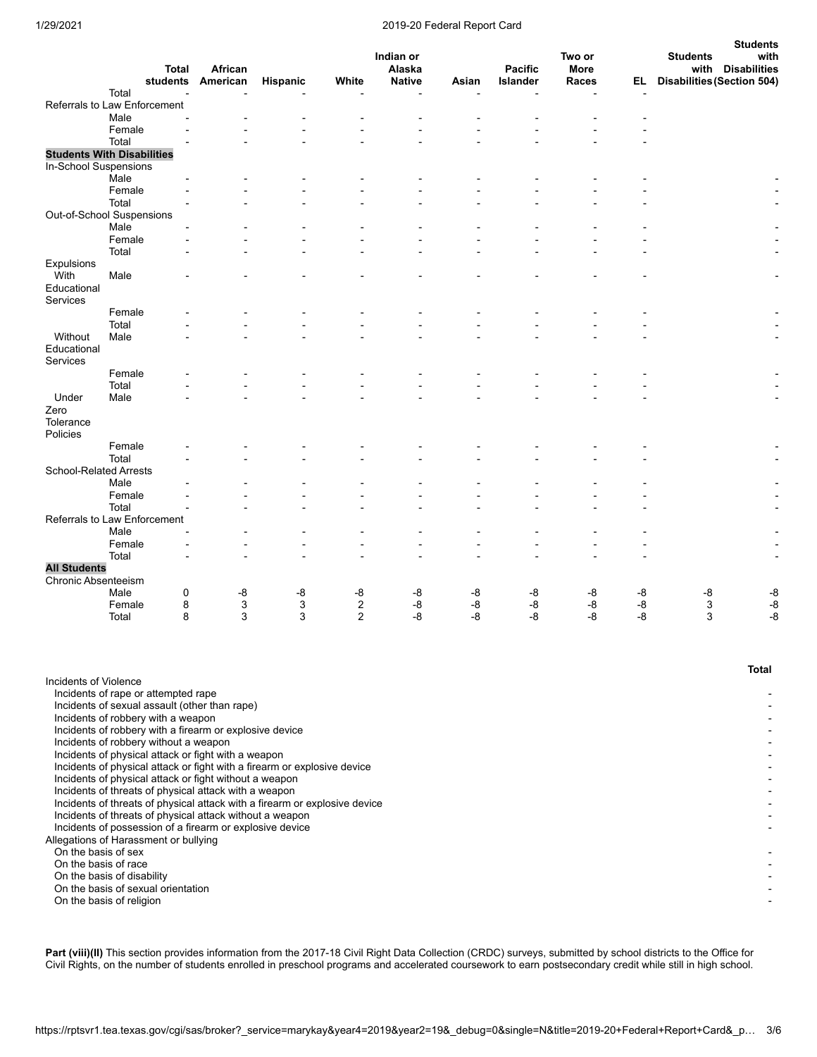### 1/29/2021 2019-20 Federal Report Card

|                               |                                   |                     |          |                |                         |                |                            |               |      | <b>Students</b>                                                  |
|-------------------------------|-----------------------------------|---------------------|----------|----------------|-------------------------|----------------|----------------------------|---------------|------|------------------------------------------------------------------|
|                               |                                   |                     |          |                | Indian or               |                |                            | Two or        |      | with<br><b>Students</b>                                          |
|                               | <b>Total</b><br>students          | African<br>American |          | White          | Alaska<br><b>Native</b> | Asian          | <b>Pacific</b><br>Islander | More<br>Races | EL.  | with<br><b>Disabilities</b><br><b>Disabilities (Section 504)</b> |
|                               | Total<br>L,                       | $\blacksquare$      | Hispanic |                | $\overline{a}$          | $\overline{a}$ |                            |               |      |                                                                  |
|                               | Referrals to Law Enforcement      |                     |          |                |                         |                |                            |               |      |                                                                  |
|                               | Male                              |                     |          |                |                         |                |                            |               |      |                                                                  |
|                               | Female                            |                     |          |                |                         |                |                            |               |      |                                                                  |
|                               | Total                             |                     |          |                |                         |                |                            |               |      |                                                                  |
|                               | <b>Students With Disabilities</b> |                     |          |                |                         |                |                            |               |      |                                                                  |
| In-School Suspensions         |                                   |                     |          |                |                         |                |                            |               |      |                                                                  |
|                               | Male                              |                     |          |                |                         |                |                            |               |      |                                                                  |
|                               | Female                            |                     |          |                |                         |                |                            |               |      |                                                                  |
|                               | Total                             |                     |          |                |                         |                |                            |               |      |                                                                  |
|                               | Out-of-School Suspensions         |                     |          |                |                         |                |                            |               |      |                                                                  |
|                               | Male                              |                     |          |                |                         |                |                            |               |      |                                                                  |
|                               | Female                            |                     |          |                |                         |                |                            |               |      |                                                                  |
|                               | Total                             |                     |          |                |                         |                |                            |               |      |                                                                  |
| Expulsions                    |                                   |                     |          |                |                         |                |                            |               |      |                                                                  |
| With                          | Male                              |                     |          |                |                         |                |                            |               |      |                                                                  |
| Educational                   |                                   |                     |          |                |                         |                |                            |               |      |                                                                  |
| Services                      |                                   |                     |          |                |                         |                |                            |               |      |                                                                  |
|                               | Female                            |                     |          |                |                         |                |                            |               |      |                                                                  |
|                               | Total                             |                     |          |                |                         |                |                            |               |      |                                                                  |
| Without                       | Male                              |                     |          |                |                         |                |                            |               |      |                                                                  |
| Educational                   |                                   |                     |          |                |                         |                |                            |               |      |                                                                  |
| Services                      |                                   |                     |          |                |                         |                |                            |               |      |                                                                  |
|                               | Female                            |                     |          |                |                         |                |                            |               |      |                                                                  |
|                               | Total                             |                     |          |                |                         |                |                            |               |      |                                                                  |
| Under                         | Male                              |                     |          |                |                         |                |                            |               |      |                                                                  |
| Zero                          |                                   |                     |          |                |                         |                |                            |               |      |                                                                  |
| Tolerance                     |                                   |                     |          |                |                         |                |                            |               |      |                                                                  |
| Policies                      |                                   |                     |          |                |                         |                |                            |               |      |                                                                  |
|                               | Female                            |                     |          |                |                         |                |                            |               |      |                                                                  |
|                               | Total                             |                     |          |                |                         |                |                            |               |      |                                                                  |
| <b>School-Related Arrests</b> |                                   |                     |          |                |                         |                |                            |               |      |                                                                  |
|                               | Male                              |                     |          |                |                         |                |                            |               |      |                                                                  |
|                               | Female                            |                     |          |                |                         |                |                            |               |      |                                                                  |
|                               | Total                             |                     |          |                |                         |                |                            |               |      |                                                                  |
|                               | Referrals to Law Enforcement      |                     |          |                |                         |                |                            |               |      |                                                                  |
|                               | Male                              |                     |          |                |                         |                |                            |               |      |                                                                  |
|                               | Female                            |                     |          |                |                         |                |                            |               |      |                                                                  |
|                               | Total                             |                     |          |                |                         |                |                            |               |      |                                                                  |
| <b>All Students</b>           |                                   |                     |          |                |                         |                |                            |               |      |                                                                  |
| Chronic Absenteeism           |                                   |                     |          |                |                         |                |                            |               |      |                                                                  |
|                               | Male<br>0                         | -8                  | -8       | -8             | -8                      | -8             | -8                         | -8            | -8   | -8<br>-8                                                         |
|                               | Female<br>8                       | 3                   | 3        | $\sqrt{2}$     | -8                      | $\mbox{-}8$    | -8                         | -8            | -8   | 3<br>$\mbox{-}8$                                                 |
|                               | 8<br>Total                        | 3                   | 3        | $\overline{2}$ | $-8$                    | $-8$           | -8                         | $-8$          | $-8$ | 3<br>$-8$                                                        |

|                                                                            | Total |
|----------------------------------------------------------------------------|-------|
| Incidents of Violence                                                      |       |
| Incidents of rape or attempted rape                                        |       |
| Incidents of sexual assault (other than rape)                              |       |
| Incidents of robbery with a weapon                                         |       |
| Incidents of robbery with a firearm or explosive device                    |       |
| Incidents of robbery without a weapon                                      |       |
| Incidents of physical attack or fight with a weapon                        |       |
| Incidents of physical attack or fight with a firearm or explosive device   |       |
| Incidents of physical attack or fight without a weapon                     |       |
| Incidents of threats of physical attack with a weapon                      |       |
| Incidents of threats of physical attack with a firearm or explosive device |       |
| Incidents of threats of physical attack without a weapon                   |       |
| Incidents of possession of a firearm or explosive device                   |       |
| Allegations of Harassment or bullying                                      |       |
| On the basis of sex                                                        |       |
| On the basis of race                                                       |       |
| On the basis of disability                                                 |       |
| On the basis of sexual orientation                                         |       |
| On the basis of religion                                                   |       |
|                                                                            |       |

Part (viii)(II) This section provides information from the 2017-18 Civil Right Data Collection (CRDC) surveys, submitted by school districts to the Office for Civil Rights, on the number of students enrolled in preschool programs and accelerated coursework to earn postsecondary credit while still in high school.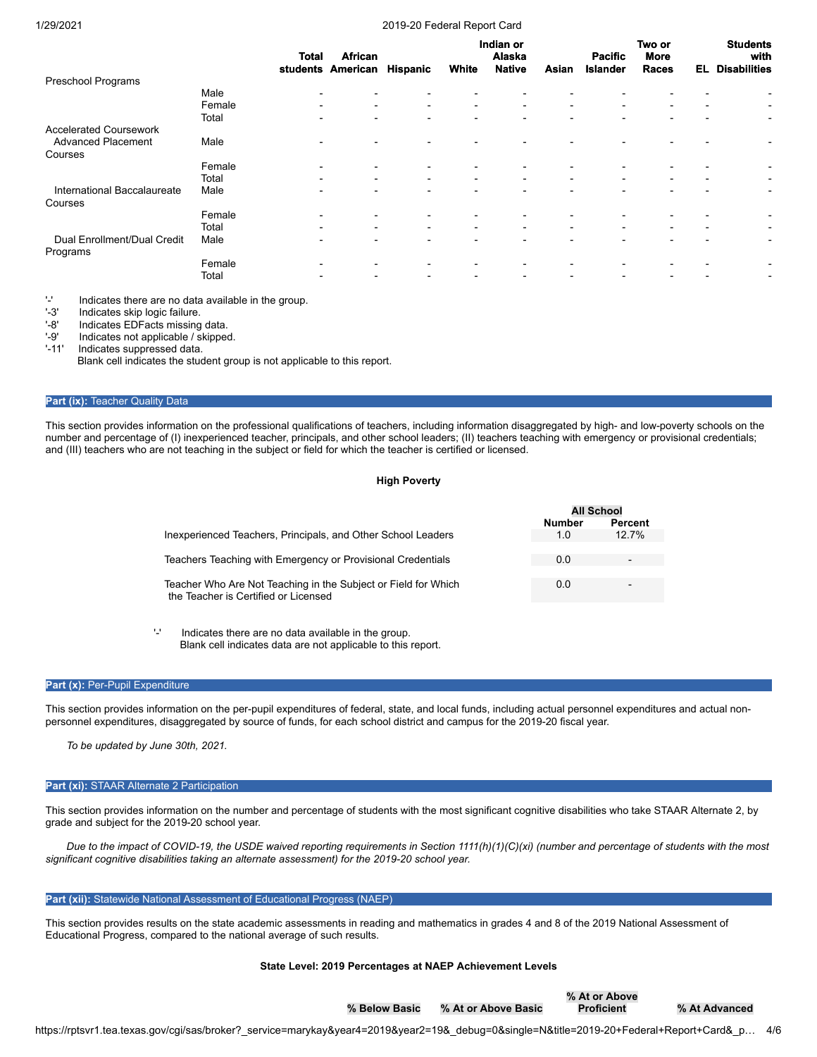#### 1/29/2021 2019-20 Federal Report Card

|                               |        | Total                    | <b>African</b><br>students American | Hispanic                 | White                    | Indian or<br>Alaska<br><b>Native</b> | Asian                    | <b>Pacific</b><br><b>Islander</b> | Two or<br><b>More</b><br><b>Races</b> | EL.            | <b>Students</b><br>with<br><b>Disabilities</b> |
|-------------------------------|--------|--------------------------|-------------------------------------|--------------------------|--------------------------|--------------------------------------|--------------------------|-----------------------------------|---------------------------------------|----------------|------------------------------------------------|
| <b>Preschool Programs</b>     |        |                          |                                     |                          |                          |                                      |                          |                                   |                                       |                |                                                |
|                               | Male   | $\blacksquare$           |                                     |                          |                          |                                      |                          |                                   |                                       |                |                                                |
|                               | Female | $\blacksquare$           | $\overline{\phantom{a}}$            | $\sim$                   | ٠                        | $\blacksquare$                       | $\overline{\phantom{a}}$ | $\blacksquare$                    | $\overline{\phantom{a}}$              | $\blacksquare$ | $\overline{\phantom{0}}$                       |
|                               | Total  | $\overline{\phantom{0}}$ |                                     |                          |                          |                                      |                          |                                   |                                       |                | $\overline{\phantom{a}}$                       |
| <b>Accelerated Coursework</b> |        |                          |                                     |                          |                          |                                      |                          |                                   |                                       |                |                                                |
| <b>Advanced Placement</b>     | Male   |                          |                                     |                          |                          |                                      |                          |                                   |                                       |                |                                                |
| Courses                       |        |                          |                                     |                          |                          |                                      |                          |                                   |                                       |                |                                                |
|                               | Female | ٠                        |                                     | ٠                        |                          |                                      |                          |                                   |                                       |                |                                                |
|                               | Total  | $\overline{\phantom{0}}$ |                                     | $\blacksquare$           | $\blacksquare$           | $\blacksquare$                       | -                        | $\blacksquare$                    |                                       |                |                                                |
| International Baccalaureate   | Male   |                          |                                     | $\overline{\phantom{0}}$ | $\overline{\phantom{0}}$ |                                      |                          |                                   |                                       |                | $\overline{\phantom{a}}$                       |
| Courses                       |        |                          |                                     |                          |                          |                                      |                          |                                   |                                       |                |                                                |
|                               | Female | ٠                        |                                     | $\blacksquare$           |                          |                                      |                          |                                   |                                       |                |                                                |
|                               | Total  |                          | $\overline{\phantom{0}}$            | $\blacksquare$           | $\blacksquare$           | $\blacksquare$                       | $\overline{\phantom{a}}$ | $\blacksquare$                    |                                       |                | $\blacksquare$                                 |
| Dual Enrollment/Dual Credit   | Male   | $\overline{\phantom{0}}$ |                                     | ۰                        | $\overline{\phantom{0}}$ |                                      |                          |                                   |                                       |                | $\overline{\phantom{0}}$                       |
| Programs                      |        |                          |                                     |                          |                          |                                      |                          |                                   |                                       |                |                                                |
|                               | Female | ۰                        |                                     | ٠                        | $\overline{\phantom{0}}$ | $\overline{\phantom{0}}$             |                          |                                   |                                       |                |                                                |
|                               | Total  | $\blacksquare$           | $\overline{\phantom{0}}$            | $\blacksquare$           | $\overline{\phantom{0}}$ | $\overline{\phantom{0}}$             | $\overline{\phantom{0}}$ | $\overline{\phantom{0}}$          |                                       |                | $\blacksquare$                                 |
|                               |        |                          |                                     |                          |                          |                                      |                          |                                   |                                       |                |                                                |

'-' Indicates there are no data available in the group.

Indicates skip logic failure.

'-8' Indicates EDFacts missing data.<br>'-9' Indicates not applicable / skipper

Indicates not applicable / skipped.

'-11' Indicates suppressed data.

Blank cell indicates the student group is not applicable to this report.

#### **Part (ix): Teacher Quality Data**

This section provides information on the professional qualifications of teachers, including information disaggregated by high- and low-poverty schools on the number and percentage of (I) inexperienced teacher, principals, and other school leaders; (II) teachers teaching with emergency or provisional credentials; and (III) teachers who are not teaching in the subject or field for which the teacher is certified or licensed.

#### **High Poverty**

|                                                                | <b>All School</b> |                |
|----------------------------------------------------------------|-------------------|----------------|
|                                                                | <b>Number</b>     | <b>Percent</b> |
| Inexperienced Teachers, Principals, and Other School Leaders   | 1.0               | 12.7%          |
|                                                                |                   |                |
| Teachers Teaching with Emergency or Provisional Credentials    | 0.0               |                |
|                                                                |                   |                |
| Teacher Who Are Not Teaching in the Subject or Field for Which | 0.0               |                |
| the Teacher is Certified or Licensed                           |                   |                |
|                                                                |                   |                |
|                                                                |                   |                |

'-' Indicates there are no data available in the group. Blank cell indicates data are not applicable to this report.

### Part (x): Per-Pupil Expenditure

This section provides information on the per-pupil expenditures of federal, state, and local funds, including actual personnel expenditures and actual nonpersonnel expenditures, disaggregated by source of funds, for each school district and campus for the 2019-20 fiscal year.

*To be updated by June 30th, 2021.*

#### **Part (xi):** STAAR Alternate 2 Participation

This section provides information on the number and percentage of students with the most significant cognitive disabilities who take STAAR Alternate 2, by grade and subject for the 2019-20 school year.

*Due to the impact of COVID-19, the USDE waived reporting requirements in Section 1111(h)(1)(C)(xi) (number and percentage of students with the most significant cognitive disabilities taking an alternate assessment) for the 2019-20 school year.*

### **Part (xii):** Statewide National Assessment of Educational Progress (NAEP)

This section provides results on the state academic assessments in reading and mathematics in grades 4 and 8 of the 2019 National Assessment of Educational Progress, compared to the national average of such results.

#### **State Level: 2019 Percentages at NAEP Achievement Levels**

**% Below Basic % At or Above Basic % At or Above**

**Proficient % At Advanced**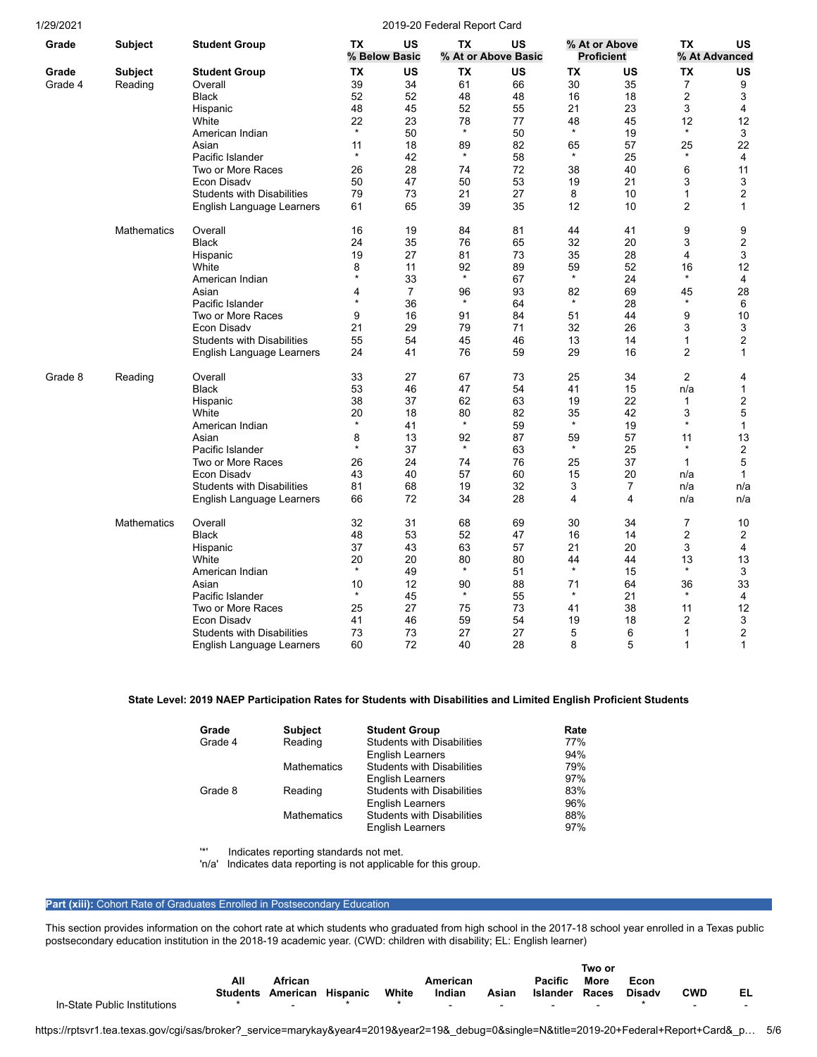| 1/29/2021 |                    |                                   |               |                     | 2019-20 Federal Report Card |                           |               |                                    |                |                     |
|-----------|--------------------|-----------------------------------|---------------|---------------------|-----------------------------|---------------------------|---------------|------------------------------------|----------------|---------------------|
| Grade     | <b>Subject</b>     | <b>Student Group</b>              | <b>TX</b>     | US<br>% Below Basic | ТX                          | US<br>% At or Above Basic |               | % At or Above<br><b>Proficient</b> | <b>TX</b>      | US<br>% At Advanced |
| Grade     | <b>Subject</b>     | Student Group                     | ТX            | US                  | ТX                          | US                        | ТX            | US                                 | ТX             | US                  |
| Grade 4   | Reading            | Overall                           | 39            | 34                  | 61                          | 66                        | 30            | 35                                 | $\overline{7}$ | 9                   |
|           |                    | <b>Black</b>                      | 52            | 52                  | 48                          | 48                        | 16            | 18                                 | $\overline{2}$ | 3                   |
|           |                    |                                   | 48            | 45                  | 52                          | 55                        | 21            | 23                                 | 3              | 4                   |
|           |                    | Hispanic                          |               |                     |                             |                           |               |                                    |                |                     |
|           |                    | White                             | 22<br>$\star$ | 23                  | 78<br>$\star$               | 77                        | 48<br>$\star$ | 45                                 | 12<br>$\star$  | 12                  |
|           |                    | American Indian                   |               | 50                  |                             | 50                        |               | 19                                 |                | 3                   |
|           |                    | Asian                             | 11            | 18                  | 89                          | 82                        | 65            | 57                                 | 25             | 22                  |
|           |                    | Pacific Islander                  | $\star$       | 42                  | $\star$                     | 58                        | $\star$       | 25                                 | $\star$        | 4                   |
|           |                    | Two or More Races                 | 26            | 28                  | 74                          | 72                        | 38            | 40                                 | 6              | 11                  |
|           |                    | <b>Econ Disadv</b>                | 50            | 47                  | 50                          | 53                        | 19            | 21                                 | 3              | 3                   |
|           |                    | <b>Students with Disabilities</b> | 79            | 73                  | 21                          | 27                        | 8             | 10                                 | $\mathbf{1}$   | $\overline{2}$      |
|           |                    | English Language Learners         | 61            | 65                  | 39                          | 35                        | 12            | 10                                 | 2              | 1                   |
|           | <b>Mathematics</b> | Overall                           | 16            | 19                  | 84                          | 81                        | 44            | 41                                 | 9              | 9                   |
|           |                    | <b>Black</b>                      | 24            | 35                  | 76                          | 65                        | 32            | 20                                 | 3              | $\overline{2}$      |
|           |                    | Hispanic                          | 19            | 27                  | 81                          | 73                        | 35            | 28                                 | 4              | 3                   |
|           |                    | White                             | 8             | 11                  | 92                          | 89                        | 59            | 52                                 | 16             | 12                  |
|           |                    | American Indian                   | $\star$       | 33                  | $\star$                     | 67                        | $\star$       | 24                                 | $\star$        | 4                   |
|           |                    | Asian                             | 4             | 7                   | 96                          | 93                        | 82            | 69                                 | 45             | 28                  |
|           |                    | Pacific Islander                  |               | 36                  | $\star$                     | 64                        | $\star$       | 28                                 | $\star$        | 6                   |
|           |                    | Two or More Races                 | 9             | 16                  | 91                          | 84                        | 51            | 44                                 | 9              | 10                  |
|           |                    | Econ Disady                       | 21            | 29                  | 79                          | 71                        | 32            | 26                                 | 3              | 3                   |
|           |                    |                                   |               |                     |                             |                           |               |                                    |                |                     |
|           |                    | <b>Students with Disabilities</b> | 55            | 54                  | 45                          | 46                        | 13            | 14                                 | 1              | 2                   |
|           |                    | English Language Learners         | 24            | 41                  | 76                          | 59                        | 29            | 16                                 | $\overline{2}$ | 1                   |
| Grade 8   | Reading            | Overall                           | 33            | 27                  | 67                          | 73                        | 25            | 34                                 | $\overline{2}$ | 4                   |
|           |                    | <b>Black</b>                      | 53            | 46                  | 47                          | 54                        | 41            | 15                                 | n/a            | 1                   |
|           |                    | Hispanic                          | 38            | 37                  | 62                          | 63                        | 19            | 22                                 | 1              | 2                   |
|           |                    | White                             | 20            | 18                  | 80                          | 82                        | 35            | 42                                 | 3              | 5                   |
|           |                    | American Indian                   | $\star$       | 41                  | $\star$                     | 59                        | $\star$       | 19                                 | $\star$        | 1                   |
|           |                    | Asian                             | 8             | 13                  | 92                          | 87                        | 59            | 57                                 | 11             | 13                  |
|           |                    | Pacific Islander                  | $\star$       | 37                  | $\star$                     | 63                        | $\star$       | 25                                 | $\star$        | 2                   |
|           |                    | Two or More Races                 | 26            | 24                  | 74                          | 76                        | 25            | 37                                 | $\mathbf{1}$   | 5                   |
|           |                    | Econ Disadv                       | 43            | 40                  | 57                          | 60                        | 15            | 20                                 | n/a            | 1                   |
|           |                    | <b>Students with Disabilities</b> | 81            | 68                  | 19                          | 32                        | 3             | 7                                  | n/a            | n/a                 |
|           |                    | English Language Learners         | 66            | 72                  | 34                          | 28                        | 4             | 4                                  | n/a            | n/a                 |
|           |                    |                                   |               |                     |                             |                           |               |                                    |                |                     |
|           | <b>Mathematics</b> | Overall                           | 32            | 31                  | 68                          | 69                        | 30            | 34                                 | $\overline{7}$ | 10                  |
|           |                    | <b>Black</b>                      | 48            | 53                  | 52                          | 47                        | 16            | 14                                 | $\overline{2}$ | 2                   |
|           |                    | Hispanic                          | 37            | 43                  | 63                          | 57                        | 21            | 20                                 | 3              | 4                   |
|           |                    | White                             | 20            | 20                  | 80                          | 80                        | 44            | 44                                 | 13             | 13                  |
|           |                    | American Indian                   | $\star$       | 49                  | $\star$                     | 51                        | $\star$       | 15                                 | $\star$        | 3                   |
|           |                    | Asian                             | 10            | 12                  | 90                          | 88                        | 71            | 64                                 | 36             | 33                  |
|           |                    | Pacific Islander                  | $\star$       | 45                  | $\star$                     | 55                        | $\star$       | 21                                 | $\star$        | 4                   |
|           |                    | Two or More Races                 | 25            | 27                  | 75                          | 73                        | 41            | 38                                 | 11             | 12                  |
|           |                    | Econ Disady                       | 41            | 46                  | 59                          | 54                        | 19            | 18                                 | 2              | 3                   |
|           |                    | <b>Students with Disabilities</b> | 73            | 73                  | 27                          | 27                        | 5             | 6                                  | 1              | $\overline{c}$      |
|           |                    |                                   | 60            | 72                  | 40                          | 28                        | 8             | 5                                  | 1              | $\mathbf{1}$        |
|           |                    | English Language Learners         |               |                     |                             |                           |               |                                    |                |                     |

## **State Level: 2019 NAEP Participation Rates for Students with Disabilities and Limited English Proficient Students**

| Grade   | <b>Subject</b>     | <b>Student Group</b>              | Rate |
|---------|--------------------|-----------------------------------|------|
| Grade 4 | Reading            | <b>Students with Disabilities</b> | 77%  |
|         |                    | <b>English Learners</b>           | 94%  |
|         | <b>Mathematics</b> | <b>Students with Disabilities</b> | 79%  |
|         |                    | <b>English Learners</b>           | 97%  |
| Grade 8 | Reading            | <b>Students with Disabilities</b> | 83%  |
|         |                    | <b>English Learners</b>           | 96%  |
|         | <b>Mathematics</b> | <b>Students with Disabilities</b> | 88%  |
|         |                    | <b>English Learners</b>           | 97%  |

'\*' Indicates reporting standards not met.

'n/a' Indicates data reporting is not applicable for this group.

#### **Part (xiii): Cohort Rate of Graduates Enrolled in Postsecondary Education**

This section provides information on the cohort rate at which students who graduated from high school in the 2017-18 school year enrolled in a Texas public postsecondary education institution in the 2018-19 academic year. (CWD: children with disability; EL: English learner)

|                              |          |                   |             |       |          |               |                       | Two or      |               |                |    |
|------------------------------|----------|-------------------|-------------|-------|----------|---------------|-----------------------|-------------|---------------|----------------|----|
|                              | All      | African           |             |       | American |               | <b>Pacific</b>        | <b>More</b> | Econ          |                |    |
|                              | Students | American Hispanic |             | White | Indian   | Asian         | <b>Islander Races</b> |             | <b>Disady</b> | CWD            | EL |
| In-State Public Institutions |          |                   | $\mathbf x$ |       |          | $\sim$ $\sim$ | $\sim$                |             |               | $\overline{a}$ |    |